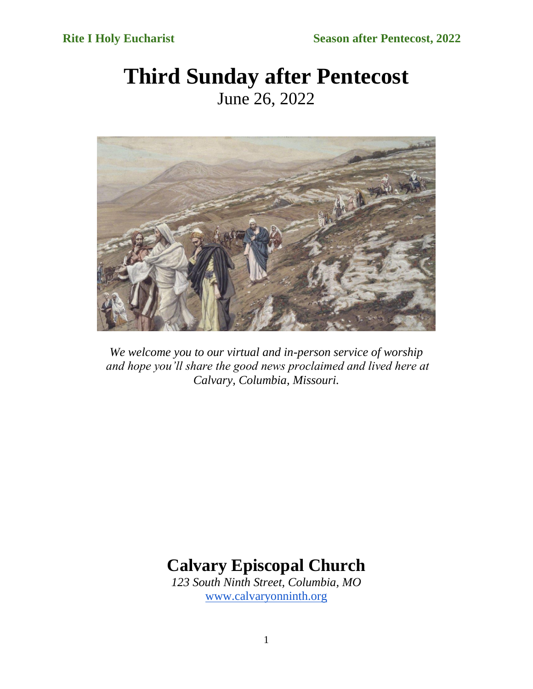# **Third Sunday after Pentecost** June 26, 2022



*We welcome you to our virtual and in-person service of worship and hope you'll share the good news proclaimed and lived here at Calvary, Columbia, Missouri.*

# **Calvary Episcopal Church**

*123 South Ninth Street, Columbia, MO* [www.calvaryonninth.org](http://www.calvaryonninth.org/)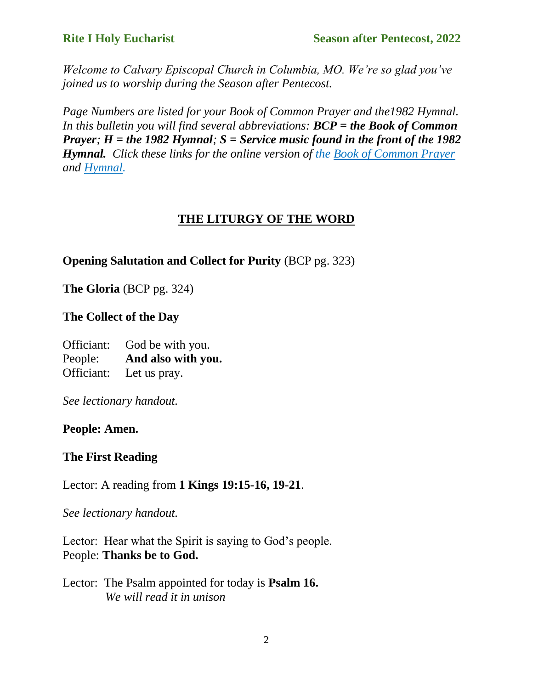*Welcome to Calvary Episcopal Church in Columbia, MO. We're so glad you've joined us to worship during the Season after Pentecost.* 

*Page Numbers are listed for your Book of Common Prayer and the1982 Hymnal. In this bulletin you will find several abbreviations: BCP = the Book of Common Prayer; H = the 1982 Hymnal; S = Service music found in the front of the 1982 Hymnal. Click these links for the online version of the [Book of Common Prayer](https://www.bcponline.org/) and [Hymnal.](https://hymnary.org/)*

#### **THE LITURGY OF THE WORD**

#### **Opening Salutation and Collect for Purity** (BCP pg. 323)

**The Gloria** (BCP pg. 324)

**The Collect of the Day**

Officiant: God be with you. People: **And also with you.** Officiant: Let us pray.

*See lectionary handout.* 

#### **People: Amen.**

#### **The First Reading**

Lector: A reading from **1 Kings 19:15-16, 19-21**.

*See lectionary handout.* 

Lector: Hear what the Spirit is saying to God's people. People: **Thanks be to God.**

Lector: The Psalm appointed for today is **Psalm 16.**  *We will read it in unison*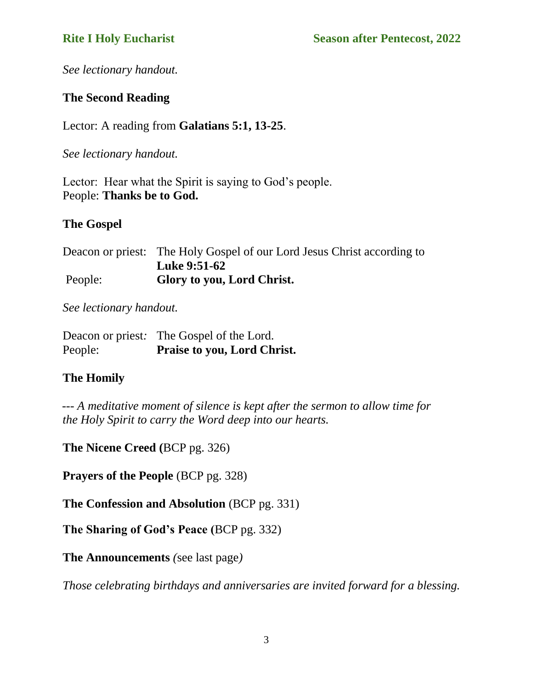*See lectionary handout.* 

#### **The Second Reading**

Lector: A reading from **Galatians 5:1, 13-25**.

*See lectionary handout.* 

Lector: Hear what the Spirit is saying to God's people. People: **Thanks be to God.**

#### **The Gospel**

Deacon or priest: The Holy Gospel of our Lord Jesus Christ according to **Luke 9:51-62** People: **Glory to you, Lord Christ.**

*See lectionary handout.* 

|         | Deacon or priest: The Gospel of the Lord. |
|---------|-------------------------------------------|
| People: | <b>Praise to you, Lord Christ.</b>        |

### **The Homily**

 *--- A meditative moment of silence is kept after the sermon to allow time for the Holy Spirit to carry the Word deep into our hearts.*

**The Nicene Creed (**BCP pg. 326)

**Prayers of the People** (BCP pg. 328)

**The Confession and Absolution** (BCP pg. 331)

**The Sharing of God's Peace (**BCP pg. 332)

**The Announcements** *(*see last page*)*

*Those celebrating birthdays and anniversaries are invited forward for a blessing.*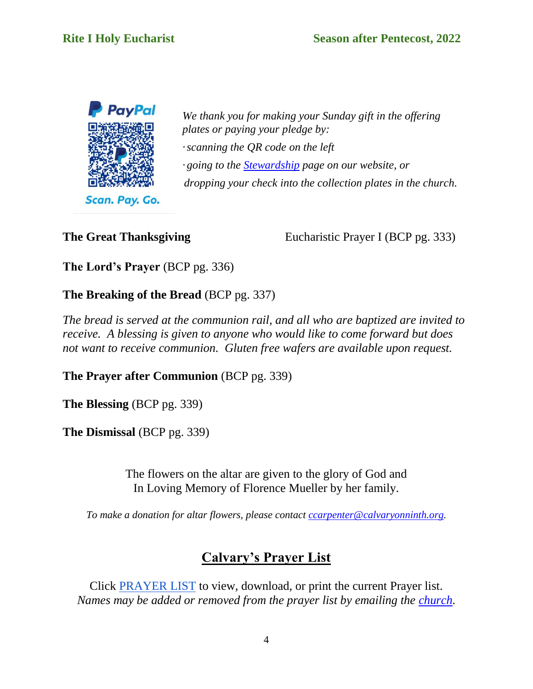

*We thank you for making your Sunday gift in the offering plates or paying your pledge by: ·scanning the QR code on the left · going to th[e](https://www.calvaryonninth.org/stewardship.html) [Stewardship](https://www.calvaryonninth.org/stewardship.html) page on our website, or dropping your check into the collection plates in the church.*

**The Great Thanksgiving** Eucharistic Prayer I (BCP pg. 333)

**The Lord's Prayer** (BCP pg. 336)

**The Breaking of the Bread** (BCP pg. 337)

*The bread is served at the communion rail, and all who are baptized are invited to receive. A blessing is given to anyone who would like to come forward but does not want to receive communion. Gluten free wafers are available upon request.*

**The Prayer after Communion** (BCP pg. 339)

**The Blessing** (BCP pg. 339)

**The Dismissal** (BCP pg. 339)

The flowers on the altar are given to the glory of God and In Loving Memory of Florence Mueller by her family.

*To make a donation for altar flowers, please contact [ccarpenter@calvaryonninth.org.](about:blank)*

# **Calvary's Prayer List**

Click [PRAYER LIST](https://drive.google.com/file/d/1OzF3G-MIq141273XXDTH17B_GJtNmiT1/view?usp=sharing) to view, download, or print the current Prayer list. *Names may be added or removed from the prayer list by emailing the [church.](mailto:ccarpenter@calvaryonninth.org)*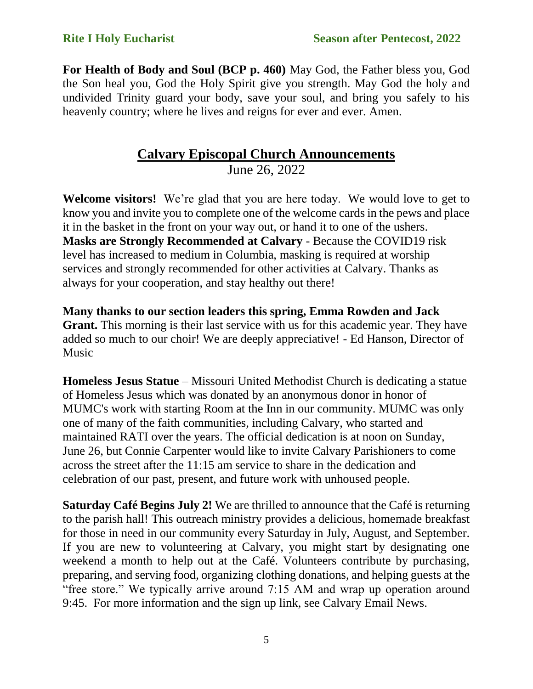**For Health of Body and Soul (BCP p. 460)** May God, the Father bless you, God the Son heal you, God the Holy Spirit give you strength. May God the holy and undivided Trinity guard your body, save your soul, and bring you safely to his heavenly country; where he lives and reigns for ever and ever. Amen.

## **Calvary Episcopal Church Announcements**

June 26, 2022

**Welcome visitors!** We're glad that you are here today. We would love to get to know you and invite you to complete one of the welcome cards in the pews and place it in the basket in the front on your way out, or hand it to one of the ushers. **Masks are Strongly Recommended at Calvary** - Because the COVID19 risk level has increased to medium in Columbia, masking is required at worship services and strongly recommended for other activities at Calvary. Thanks as always for your cooperation, and stay healthy out there!

**Many thanks to our section leaders this spring, Emma Rowden and Jack Grant.** This morning is their last service with us for this academic year. They have added so much to our choir! We are deeply appreciative! - Ed Hanson, Director of Music

**Homeless Jesus Statue** – Missouri United Methodist Church is dedicating a statue of Homeless Jesus which was donated by an anonymous donor in honor of MUMC's work with starting Room at the Inn in our community. MUMC was only one of many of the faith communities, including Calvary, who started and maintained RATI over the years. The official dedication is at noon on Sunday, June 26, but Connie Carpenter would like to invite Calvary Parishioners to come across the street after the 11:15 am service to share in the dedication and celebration of our past, present, and future work with unhoused people.

**Saturday Café Begins July 2!** We are thrilled to announce that the Café is returning to the parish hall! This outreach ministry provides a delicious, homemade breakfast for those in need in our community every Saturday in July, August, and September. If you are new to volunteering at Calvary, you might start by designating one weekend a month to help out at the Café. Volunteers contribute by purchasing, preparing, and serving food, organizing clothing donations, and helping guests at the "free store." We typically arrive around 7:15 AM and wrap up operation around 9:45. For more information and the sign up link, see Calvary Email News.